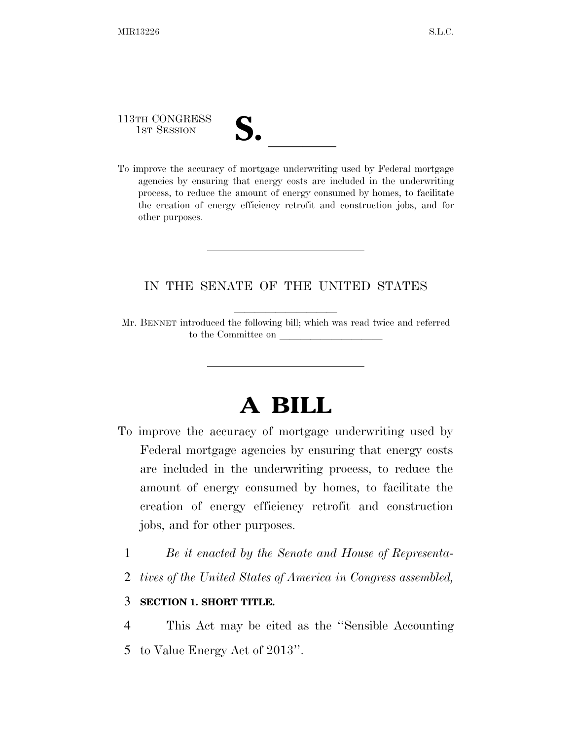113TH CONGRESS

other purposes.

113TH CONGRESS<br>
1ST SESSION<br>
To improve the accuracy of mortgage underwriting used by Federal mortgage agencies by ensuring that energy costs are included in the underwriting process, to reduce the amount of energy consumed by homes, to facilitate the creation of energy efficiency retrofit and construction jobs, and for

### IN THE SENATE OF THE UNITED STATES

Mr. BENNET introduced the following bill; which was read twice and referred to the Committee on

# **A BILL**

- To improve the accuracy of mortgage underwriting used by Federal mortgage agencies by ensuring that energy costs are included in the underwriting process, to reduce the amount of energy consumed by homes, to facilitate the creation of energy efficiency retrofit and construction jobs, and for other purposes.
	- 1 *Be it enacted by the Senate and House of Representa-*
	- 2 *tives of the United States of America in Congress assembled,*

### 3 **SECTION 1. SHORT TITLE.**

4 This Act may be cited as the ''Sensible Accounting 5 to Value Energy Act of 2013''.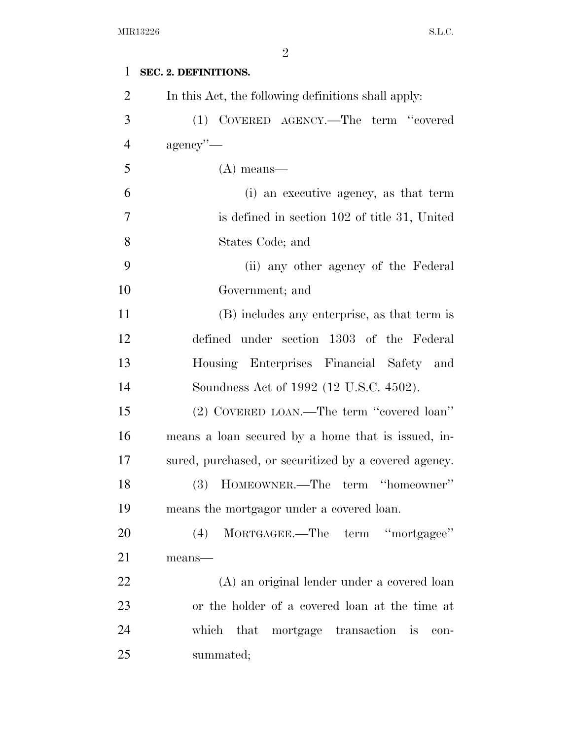| 1              | SEC. 2. DEFINITIONS.                                  |
|----------------|-------------------------------------------------------|
| $\overline{2}$ | In this Act, the following definitions shall apply:   |
| 3              | COVERED AGENCY.—The term "covered<br>(1)              |
| $\overline{4}$ | $agency'$ —                                           |
| 5              | $(A)$ means—                                          |
| 6              | (i) an executive agency, as that term                 |
| 7              | is defined in section 102 of title 31, United         |
| 8              | States Code; and                                      |
| 9              | (ii) any other agency of the Federal                  |
| 10             | Government; and                                       |
| 11             | (B) includes any enterprise, as that term is          |
| 12             | defined under section 1303 of the Federal             |
| 13             | Housing Enterprises Financial Safety and              |
| 14             | Soundness Act of 1992 (12 U.S.C. 4502).               |
| 15             | (2) COVERED LOAN.—The term "covered loan"             |
| 16             | means a loan secured by a home that is issued, in-    |
| 17             | sured, purchased, or securitized by a covered agency. |
| 18             | $(3)$ HOMEOWNER.—The term "homeowner"                 |
| 19             | means the mortgagor under a covered loan.             |
| 20             | MORTGAGEE.—The term "mortgagee"<br>(4)                |
| 21             | means-                                                |
| 22             | (A) an original lender under a covered loan           |
| 23             | or the holder of a covered loan at the time at        |
| 24             | which that<br>mortgage transaction is<br>con-         |
| 25             | summated;                                             |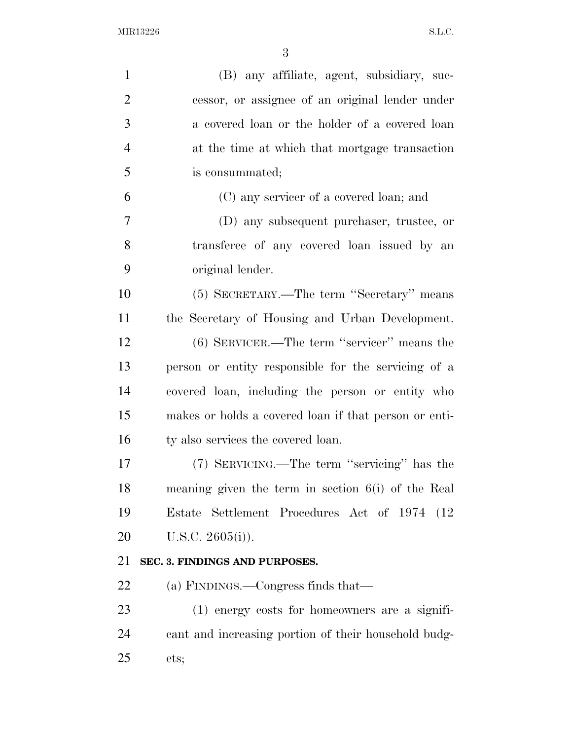| $\mathbf{1}$   | (B) any affiliate, agent, subsidiary, suc-            |
|----------------|-------------------------------------------------------|
| $\overline{2}$ | cessor, or assignee of an original lender under       |
| 3              | a covered loan or the holder of a covered loan        |
| $\overline{4}$ | at the time at which that mortgage transaction        |
| 5              | is consummated;                                       |
| 6              | (C) any servicer of a covered loan; and               |
| $\tau$         | (D) any subsequent purchaser, trustee, or             |
| 8              | transferee of any covered loan issued by an           |
| 9              | original lender.                                      |
| 10             | (5) SECRETARY.—The term "Secretary" means             |
| 11             | the Secretary of Housing and Urban Development.       |
| 12             | $(6)$ SERVICER.—The term "servicer" means the         |
| 13             | person or entity responsible for the servicing of a   |
| 14             | covered loan, including the person or entity who      |
| 15             | makes or holds a covered loan if that person or enti- |
| 16             | ty also services the covered loan.                    |
| 17             | (7) SERVICING.—The term "servicing" has the           |
| 18             | meaning given the term in section $6(i)$ of the Real  |
| 19             | Estate Settlement Procedures Act of 1974 (12)         |
| 20             | U.S.C. $2605(i)$ ).                                   |
| 21             | SEC. 3. FINDINGS AND PURPOSES.                        |
| 22             | (a) FINDINGS.—Congress finds that—                    |
| 23             | $(1)$ energy costs for homeowners are a signifi-      |
| 24             | cant and increasing portion of their household budg-  |
| 25             | ets;                                                  |
|                |                                                       |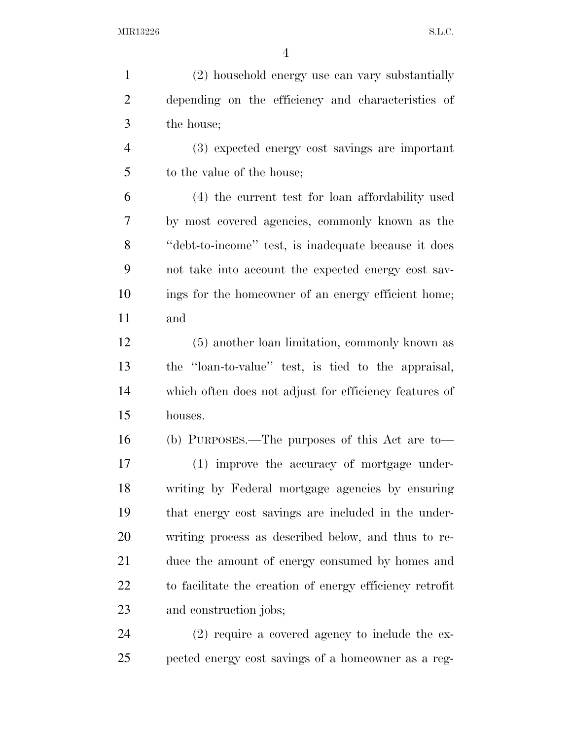(2) household energy use can vary substantially depending on the efficiency and characteristics of the house;

 (3) expected energy cost savings are important 5 to the value of the house;

 (4) the current test for loan affordability used by most covered agencies, commonly known as the ''debt-to-income'' test, is inadequate because it does not take into account the expected energy cost sav- ings for the homeowner of an energy efficient home; and

 (5) another loan limitation, commonly known as the ''loan-to-value'' test, is tied to the appraisal, which often does not adjust for efficiency features of houses.

 (b) PURPOSES.—The purposes of this Act are to— (1) improve the accuracy of mortgage under- writing by Federal mortgage agencies by ensuring that energy cost savings are included in the under- writing process as described below, and thus to re- duce the amount of energy consumed by homes and to facilitate the creation of energy efficiency retrofit and construction jobs;

 (2) require a covered agency to include the ex-pected energy cost savings of a homeowner as a reg-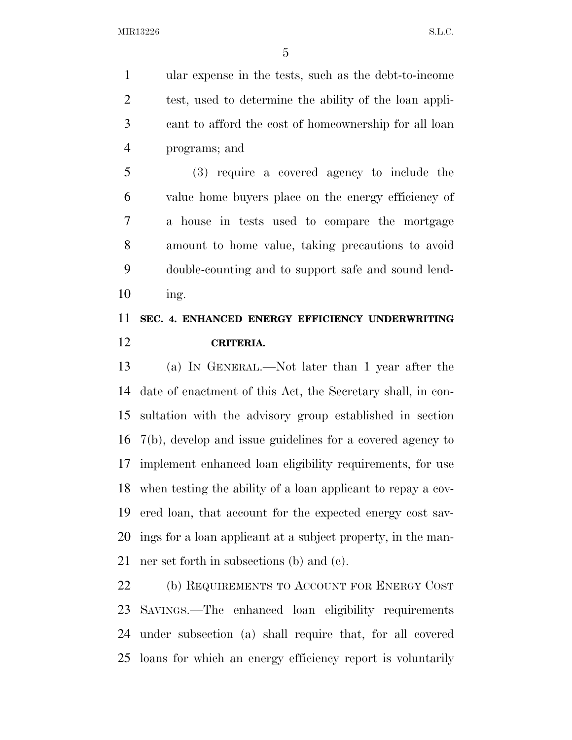ular expense in the tests, such as the debt-to-income test, used to determine the ability of the loan appli- cant to afford the cost of homeownership for all loan programs; and

 (3) require a covered agency to include the value home buyers place on the energy efficiency of a house in tests used to compare the mortgage amount to home value, taking precautions to avoid double-counting and to support safe and sound lend-ing.

## **SEC. 4. ENHANCED ENERGY EFFICIENCY UNDERWRITING CRITERIA.**

 (a) IN GENERAL.—Not later than 1 year after the date of enactment of this Act, the Secretary shall, in con- sultation with the advisory group established in section 7(b), develop and issue guidelines for a covered agency to implement enhanced loan eligibility requirements, for use when testing the ability of a loan applicant to repay a cov- ered loan, that account for the expected energy cost sav- ings for a loan applicant at a subject property, in the man-ner set forth in subsections (b) and (c).

22 (b) REQUIREMENTS TO ACCOUNT FOR ENERGY COST SAVINGS.—The enhanced loan eligibility requirements under subsection (a) shall require that, for all covered loans for which an energy efficiency report is voluntarily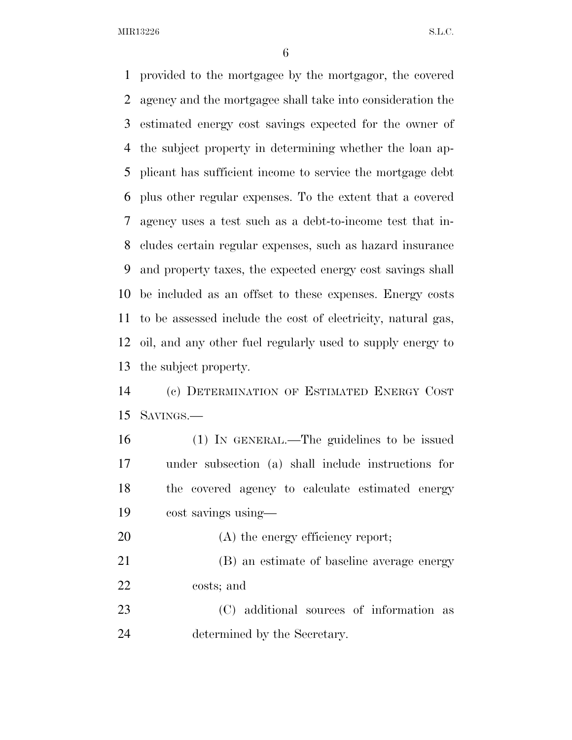provided to the mortgagee by the mortgagor, the covered agency and the mortgagee shall take into consideration the estimated energy cost savings expected for the owner of the subject property in determining whether the loan ap- plicant has sufficient income to service the mortgage debt plus other regular expenses. To the extent that a covered agency uses a test such as a debt-to-income test that in- cludes certain regular expenses, such as hazard insurance and property taxes, the expected energy cost savings shall be included as an offset to these expenses. Energy costs to be assessed include the cost of electricity, natural gas, oil, and any other fuel regularly used to supply energy to the subject property.

 (c) DETERMINATION OF ESTIMATED ENERGY COST SAVINGS.—

 (1) IN GENERAL.—The guidelines to be issued under subsection (a) shall include instructions for the covered agency to calculate estimated energy cost savings using—

20 (A) the energy efficiency report; (B) an estimate of baseline average energy

costs; and

 (C) additional sources of information as determined by the Secretary.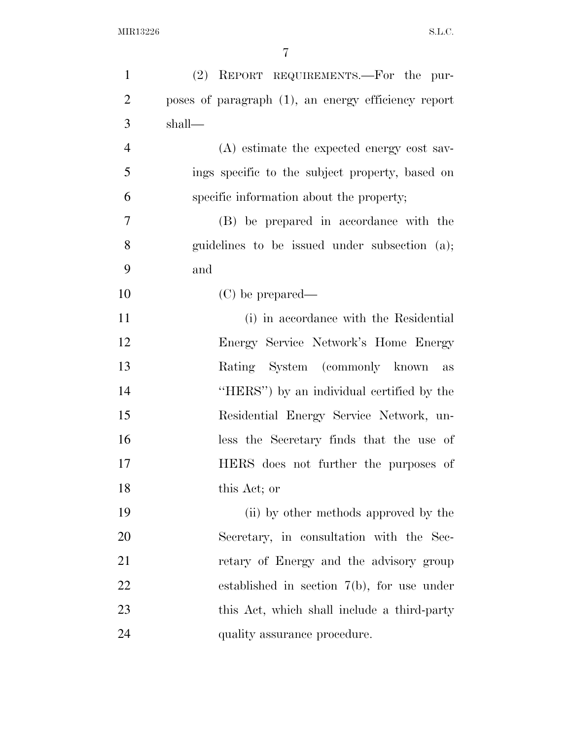| $\mathbf{1}$   | (2) REPORT REQUIREMENTS.—For the pur-               |
|----------------|-----------------------------------------------------|
| $\overline{2}$ | poses of paragraph (1), an energy efficiency report |
| 3              | shall—                                              |
| $\overline{4}$ | (A) estimate the expected energy cost sav-          |
| 5              | ings specific to the subject property, based on     |
| 6              | specific information about the property;            |
| 7              | (B) be prepared in accordance with the              |
| 8              | guidelines to be issued under subsection (a);       |
| 9              | and                                                 |
| 10             | $(C)$ be prepared—                                  |
| 11             | (i) in accordance with the Residential              |
| 12             | Energy Service Network's Home Energy                |
| 13             | Rating System (commonly known)<br>as                |
| 14             | "HERS") by an individual certified by the           |
| 15             | Residential Energy Service Network, un-             |
| 16             | less the Secretary finds that the use of            |
| 17             | HERS does not further the purposes of               |
| 18             | this Act; or                                        |
| 19             | (ii) by other methods approved by the               |
| 20             | Secretary, in consultation with the Sec-            |
| 21             | retary of Energy and the advisory group             |
| 22             | established in section $7(b)$ , for use under       |
| 23             | this Act, which shall include a third-party         |
| 24             | quality assurance procedure.                        |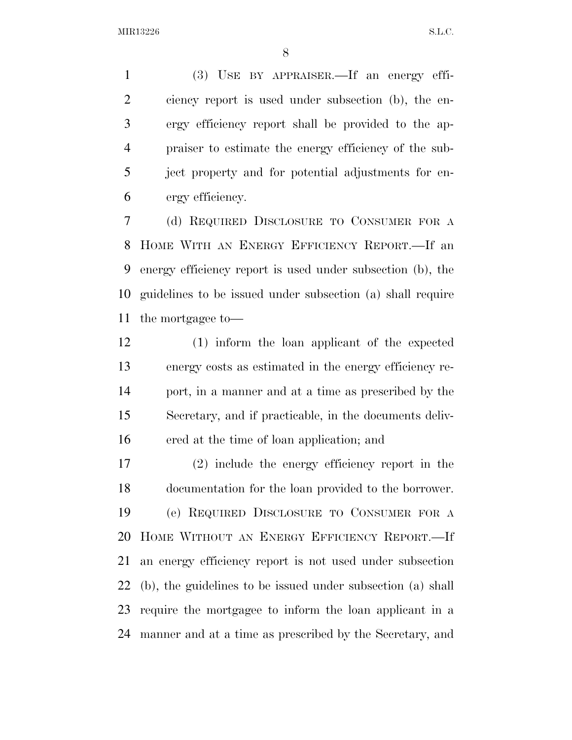(3) USE BY APPRAISER.—If an energy effi- ciency report is used under subsection (b), the en- ergy efficiency report shall be provided to the ap- praiser to estimate the energy efficiency of the sub- ject property and for potential adjustments for en-ergy efficiency.

 (d) REQUIRED DISCLOSURE TO CONSUMER FOR A HOME WITH AN ENERGY EFFICIENCY REPORT.—If an energy efficiency report is used under subsection (b), the guidelines to be issued under subsection (a) shall require the mortgagee to—

 (1) inform the loan applicant of the expected energy costs as estimated in the energy efficiency re- port, in a manner and at a time as prescribed by the Secretary, and if practicable, in the documents deliv-ered at the time of loan application; and

 (2) include the energy efficiency report in the documentation for the loan provided to the borrower. (e) REQUIRED DISCLOSURE TO CONSUMER FOR A HOME WITHOUT AN ENERGY EFFICIENCY REPORT.—If an energy efficiency report is not used under subsection (b), the guidelines to be issued under subsection (a) shall require the mortgagee to inform the loan applicant in a manner and at a time as prescribed by the Secretary, and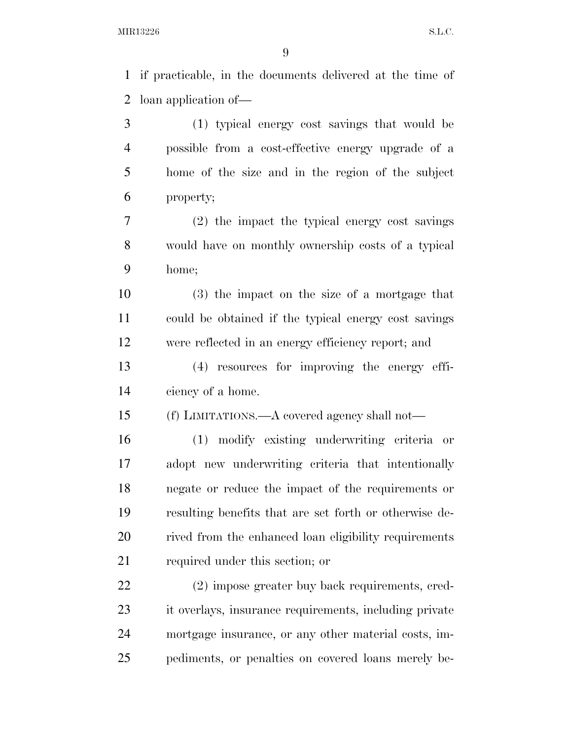if practicable, in the documents delivered at the time of

 loan application of— (1) typical energy cost savings that would be possible from a cost-effective energy upgrade of a home of the size and in the region of the subject property; (2) the impact the typical energy cost savings would have on monthly ownership costs of a typical home; (3) the impact on the size of a mortgage that could be obtained if the typical energy cost savings were reflected in an energy efficiency report; and (4) resources for improving the energy effi- ciency of a home. (f) LIMITATIONS.—A covered agency shall not— (1) modify existing underwriting criteria or adopt new underwriting criteria that intentionally negate or reduce the impact of the requirements or resulting benefits that are set forth or otherwise de-20 rived from the enhanced loan eligibility requirements required under this section; or (2) impose greater buy back requirements, cred- it overlays, insurance requirements, including private mortgage insurance, or any other material costs, im-pediments, or penalties on covered loans merely be-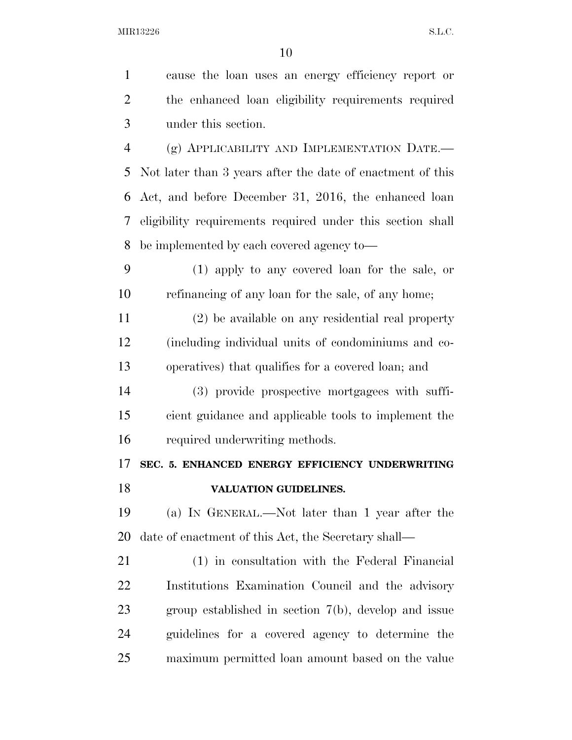| $\mathbf{1}$   | cause the loan uses an energy efficiency report or         |
|----------------|------------------------------------------------------------|
| $\overline{2}$ | the enhanced loan eligibility requirements required        |
| 3              | under this section.                                        |
| 4              | (g) APPLICABILITY AND IMPLEMENTATION DATE.-                |
| 5              | Not later than 3 years after the date of enactment of this |
| 6              | Act, and before December 31, 2016, the enhanced loan       |
| 7              | eligibility requirements required under this section shall |
| 8              | be implemented by each covered agency to—                  |
| 9              | (1) apply to any covered loan for the sale, or             |
| 10             | refinancing of any loan for the sale, of any home;         |
| 11             | (2) be available on any residential real property          |
| 12             | (including individual units of condominiums and co-        |
| 13             | operatives) that qualifies for a covered loan; and         |
| 14             | (3) provide prospective mortgagees with suffi-             |
| 15             | cient guidance and applicable tools to implement the       |
| 16             | required underwriting methods.                             |
| 17             | SEC. 5. ENHANCED ENERGY EFFICIENCY UNDERWRITING            |
| 18             | VALUATION GUIDELINES.                                      |
| 19             | (a) IN GENERAL.—Not later than 1 year after the            |
| 20             | date of enactment of this Act, the Secretary shall—        |
| 21             | (1) in consultation with the Federal Financial             |
| 22             | Institutions Examination Council and the advisory          |
| 23             | group established in section $7(b)$ , develop and issue    |
| 24             | guidelines for a covered agency to determine the           |
| 25             | maximum permitted loan amount based on the value           |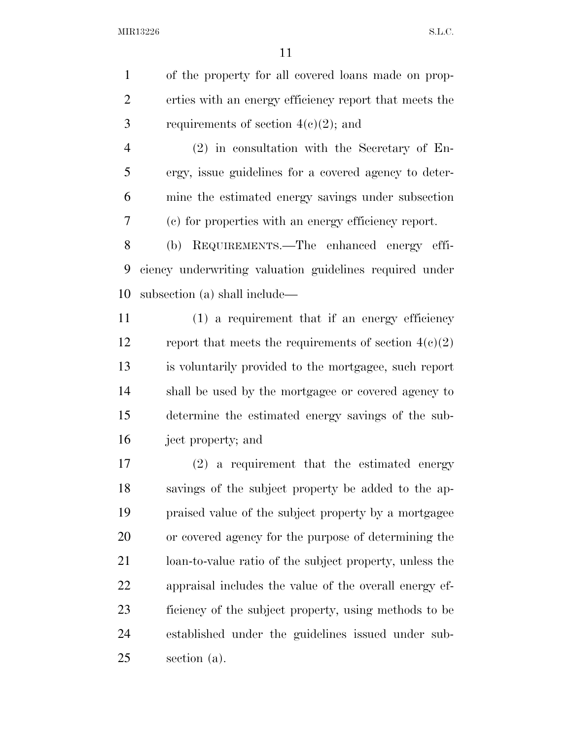of the property for all covered loans made on prop- erties with an energy efficiency report that meets the 3 requirements of section  $4(e)(2)$ ; and

 (2) in consultation with the Secretary of En- ergy, issue guidelines for a covered agency to deter- mine the estimated energy savings under subsection (c) for properties with an energy efficiency report.

 (b) REQUIREMENTS.—The enhanced energy effi- ciency underwriting valuation guidelines required under subsection (a) shall include—

 (1) a requirement that if an energy efficiency 12 report that meets the requirements of section  $4(c)(2)$  is voluntarily provided to the mortgagee, such report shall be used by the mortgagee or covered agency to determine the estimated energy savings of the sub-ject property; and

 (2) a requirement that the estimated energy savings of the subject property be added to the ap- praised value of the subject property by a mortgagee or covered agency for the purpose of determining the loan-to-value ratio of the subject property, unless the appraisal includes the value of the overall energy ef- ficiency of the subject property, using methods to be established under the guidelines issued under sub-section (a).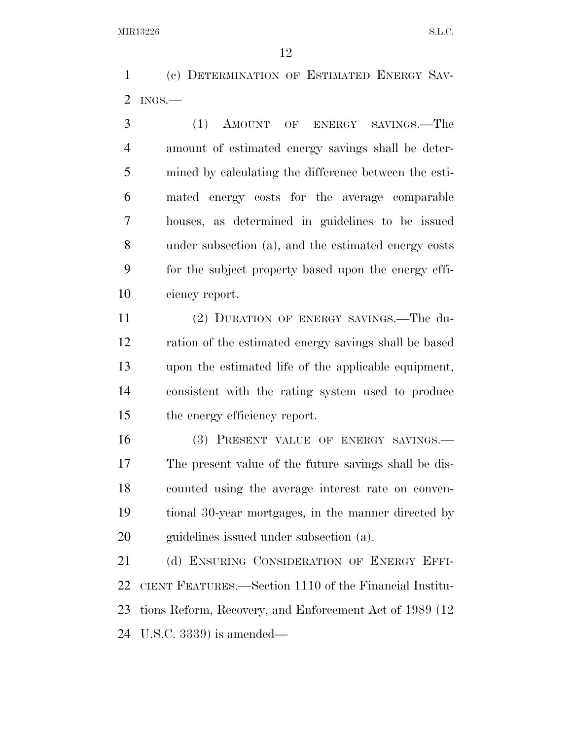(c) DETERMINATION OF ESTIMATED ENERGY SAV-INGS.—

 (1) AMOUNT OF ENERGY SAVINGS.—The amount of estimated energy savings shall be deter- mined by calculating the difference between the esti- mated energy costs for the average comparable houses, as determined in guidelines to be issued under subsection (a), and the estimated energy costs for the subject property based upon the energy effi-ciency report.

 (2) DURATION OF ENERGY SAVINGS.—The du- ration of the estimated energy savings shall be based upon the estimated life of the applicable equipment, consistent with the rating system used to produce the energy efficiency report.

 (3) PRESENT VALUE OF ENERGY SAVINGS.— The present value of the future savings shall be dis- counted using the average interest rate on conven- tional 30-year mortgages, in the manner directed by guidelines issued under subsection (a).

21 (d) ENSURING CONSIDERATION OF ENERGY EFFI- CIENT FEATURES.—Section 1110 of the Financial Institu- tions Reform, Recovery, and Enforcement Act of 1989 (12 U.S.C. 3339) is amended—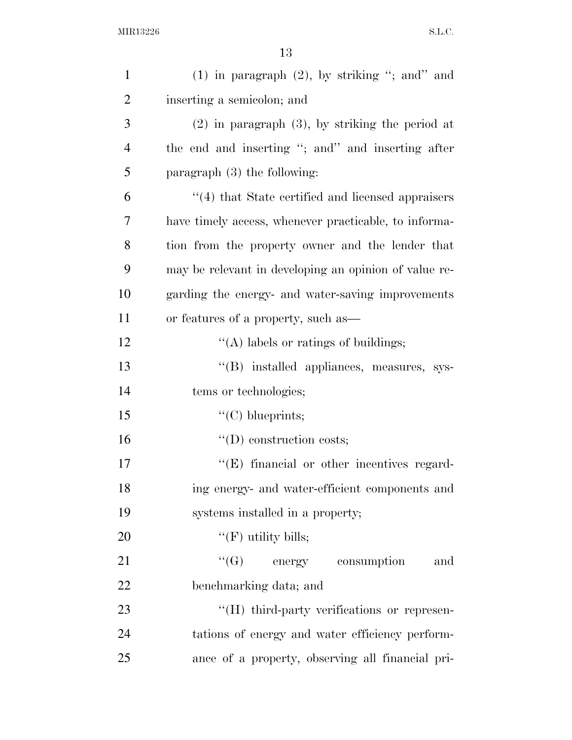| $\mathbf{1}$   | $(1)$ in paragraph $(2)$ , by striking "; and" and    |
|----------------|-------------------------------------------------------|
| $\overline{2}$ | inserting a semicolon; and                            |
| 3              | $(2)$ in paragraph $(3)$ , by striking the period at  |
| $\overline{4}$ | the end and inserting "; and" and inserting after     |
| 5              | paragraph $(3)$ the following:                        |
| 6              | "(4) that State certified and licensed appraisers     |
| 7              | have timely access, whenever practicable, to informa- |
| 8              | tion from the property owner and the lender that      |
| 9              | may be relevant in developing an opinion of value re- |
| 10             | garding the energy- and water-saving improvements     |
| 11             | or features of a property, such as—                   |
| 12             | $\lq\lq$ labels or ratings of buildings;              |
| 13             | "(B) installed appliances, measures, sys-             |
| 14             | tems or technologies;                                 |
| 15             | " $(C)$ blueprints;                                   |
| 16             | $\lq\lq$ construction costs;                          |
| 17             | $\lq\lq$ (E) financial or other incentives regard-    |
| 18             | ing energy- and water-efficient components and        |
| 19             | systems installed in a property;                      |
| 20             | " $(F)$ utility bills;                                |
| 21             | $\lq\lq (G)$ energy consumption<br>and                |
| 22             | benchmarking data; and                                |
| 23             | "(H) third-party verifications or represen-           |
| 24             | tations of energy and water efficiency perform-       |
| 25             | ance of a property, observing all financial pri-      |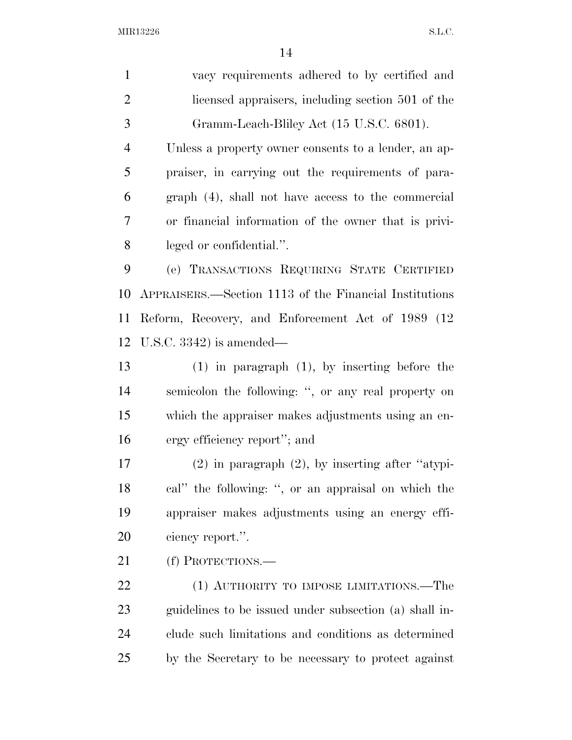| $\mathbf{1}$   | vacy requirements adhered to by certified and          |
|----------------|--------------------------------------------------------|
| $\overline{2}$ | licensed appraisers, including section 501 of the      |
| 3              | Gramm-Leach-Bliley Act (15 U.S.C. 6801).               |
| $\overline{4}$ | Unless a property owner consents to a lender, an ap-   |
| 5              | praiser, in carrying out the requirements of para-     |
| 6              | graph (4), shall not have access to the commercial     |
| 7              | or financial information of the owner that is privi-   |
| 8              | leged or confidential.".                               |
| 9              | (e) TRANSACTIONS REQUIRING STATE CERTIFIED             |
| 10             | APPRAISERS.—Section 1113 of the Financial Institutions |
| 11             | Reform, Recovery, and Enforcement Act of 1989 (12)     |
| 12             | U.S.C. $3342$ ) is amended—                            |
| 13             | $(1)$ in paragraph $(1)$ , by inserting before the     |
| 14             | semicolon the following: ", or any real property on    |
| 15             | which the appraiser makes adjustments using an en-     |
| 16             | ergy efficiency report"; and                           |
| 17             | $(2)$ in paragraph $(2)$ , by inserting after "atypi-  |
| 18             | cal" the following: ", or an appraisal on which the    |
| 19             | appraiser makes adjustments using an energy effi-      |
| 20             | ciency report.".                                       |
| 21             | (f) PROTECTIONS.—                                      |
| 22             | (1) AUTHORITY TO IMPOSE LIMITATIONS.—The               |
| 23             | guidelines to be issued under subsection (a) shall in- |
| 24             | clude such limitations and conditions as determined    |
| 25             | by the Secretary to be necessary to protect against    |
|                |                                                        |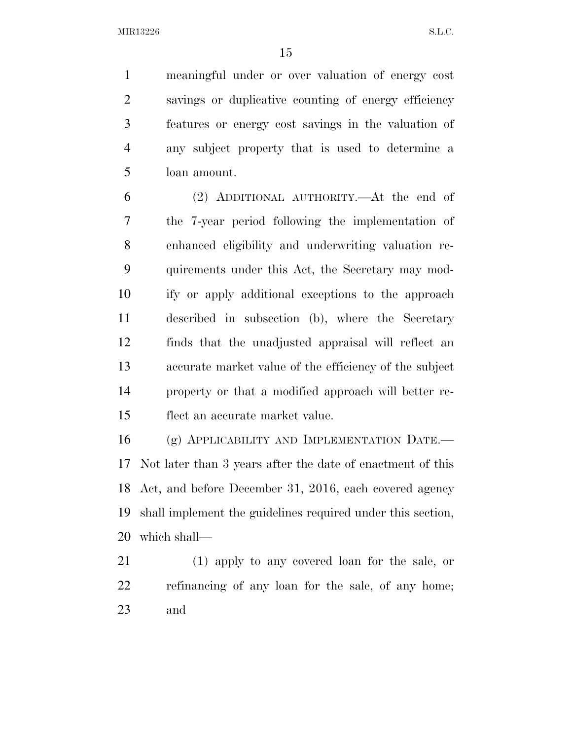meaningful under or over valuation of energy cost savings or duplicative counting of energy efficiency features or energy cost savings in the valuation of any subject property that is used to determine a loan amount.

 (2) ADDITIONAL AUTHORITY.—At the end of the 7-year period following the implementation of enhanced eligibility and underwriting valuation re- quirements under this Act, the Secretary may mod- ify or apply additional exceptions to the approach described in subsection (b), where the Secretary finds that the unadjusted appraisal will reflect an accurate market value of the efficiency of the subject property or that a modified approach will better re-flect an accurate market value.

 (g) APPLICABILITY AND IMPLEMENTATION DATE.— Not later than 3 years after the date of enactment of this Act, and before December 31, 2016, each covered agency shall implement the guidelines required under this section, which shall—

 (1) apply to any covered loan for the sale, or refinancing of any loan for the sale, of any home; and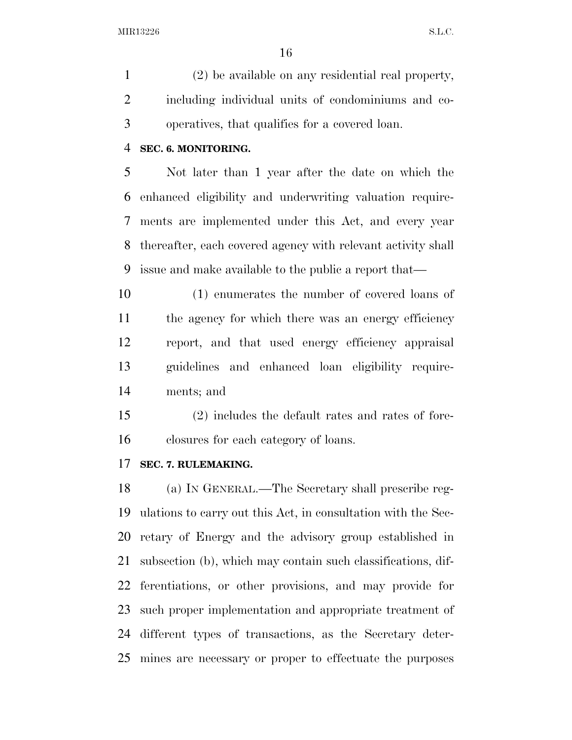(2) be available on any residential real property, including individual units of condominiums and co-operatives, that qualifies for a covered loan.

#### **SEC. 6. MONITORING.**

 Not later than 1 year after the date on which the enhanced eligibility and underwriting valuation require- ments are implemented under this Act, and every year thereafter, each covered agency with relevant activity shall issue and make available to the public a report that—

 (1) enumerates the number of covered loans of 11 the agency for which there was an energy efficiency report, and that used energy efficiency appraisal guidelines and enhanced loan eligibility require-ments; and

 (2) includes the default rates and rates of fore-closures for each category of loans.

### **SEC. 7. RULEMAKING.**

 (a) IN GENERAL.—The Secretary shall prescribe reg- ulations to carry out this Act, in consultation with the Sec- retary of Energy and the advisory group established in subsection (b), which may contain such classifications, dif- ferentiations, or other provisions, and may provide for such proper implementation and appropriate treatment of different types of transactions, as the Secretary deter-mines are necessary or proper to effectuate the purposes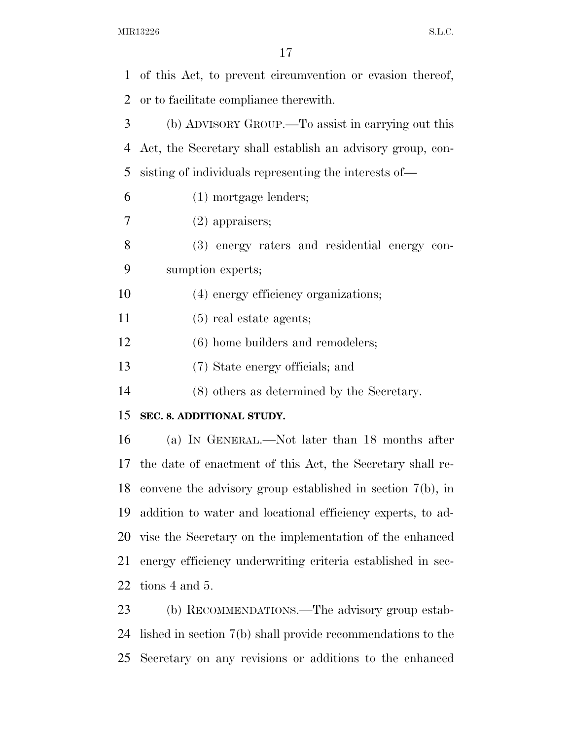| 1  | of this Act, to prevent circumvention or evasion thereof,     |
|----|---------------------------------------------------------------|
| 2  | or to facilitate compliance therewith.                        |
| 3  | (b) ADVISORY GROUP.—To assist in carrying out this            |
| 4  | Act, the Secretary shall establish an advisory group, con-    |
| 5  | sisting of individuals representing the interests of—         |
| 6  | $(1)$ mortgage lenders;                                       |
| 7  | $(2)$ appraisers;                                             |
| 8  | (3) energy raters and residential energy con-                 |
| 9  | sumption experts;                                             |
| 10 | (4) energy efficiency organizations;                          |
| 11 | $(5)$ real estate agents;                                     |
| 12 | (6) home builders and remodelers;                             |
| 13 | (7) State energy officials; and                               |
| 14 | (8) others as determined by the Secretary.                    |
| 15 | SEC. 8. ADDITIONAL STUDY.                                     |
| 16 | (a) IN GENERAL.—Not later than 18 months after                |
| 17 | the date of enactment of this Act, the Secretary shall re-    |
| 18 | convene the advisory group established in section $7(b)$ , in |
| 19 | addition to water and locational efficiency experts, to ad-   |
| 20 | vise the Secretary on the implementation of the enhanced      |
| 21 | energy efficiency underwriting criteria established in sec-   |
| 22 | tions 4 and 5.                                                |
| 23 | (b) RECOMMENDATIONS.—The advisory group estab-                |
| 24 | lished in section $7(b)$ shall provide recommendations to the |
| 25 | Secretary on any revisions or additions to the enhanced       |